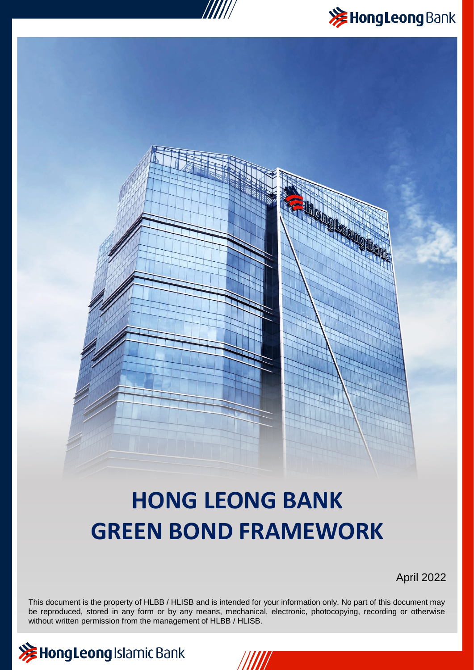



# **HONG LEONG BANK GREEN BOND FRAMEWORK**

April 2022



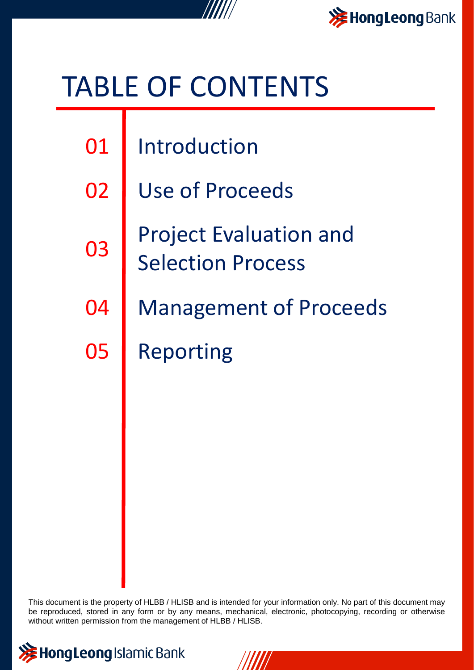

# TABLE OF CONTENTS

| 01 | I Introduction |
|----|----------------|
|    |                |

- 02 Use of Proceeds
- 03 Project Evaluation and Selection Process
- Management of Proceeds 04 05
	- Reporting



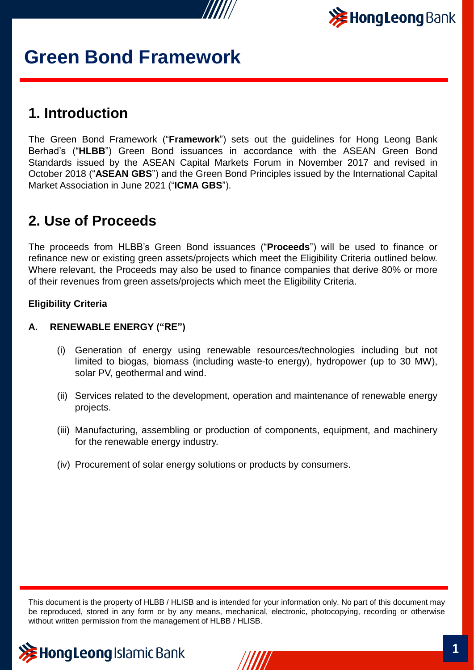



### **1. Introduction**

The Green Bond Framework ("**Framework**") sets out the guidelines for Hong Leong Bank Berhad's ("**HLBB**") Green Bond issuances in accordance with the ASEAN Green Bond Standards issued by the ASEAN Capital Markets Forum in November 2017 and revised in October 2018 ("**ASEAN GBS**") and the Green Bond Principles issued by the International Capital Market Association in June 2021 ("**ICMA GBS**").

### **2. Use of Proceeds**

The proceeds from HLBB's Green Bond issuances ("**Proceeds**") will be used to finance or refinance new or existing green assets/projects which meet the Eligibility Criteria outlined below. Where relevant, the Proceeds may also be used to finance companies that derive 80% or more of their revenues from green assets/projects which meet the Eligibility Criteria.

#### **Eligibility Criteria**

#### **A. RENEWABLE ENERGY ("RE")**

- (i) Generation of energy using renewable resources/technologies including but not limited to biogas, biomass (including waste-to energy), hydropower (up to 30 MW), solar PV, geothermal and wind.
- (ii) Services related to the development, operation and maintenance of renewable energy projects.
- (iii) Manufacturing, assembling or production of components, equipment, and machinery for the renewable energy industry.
- (iv) Procurement of solar energy solutions or products by consumers.



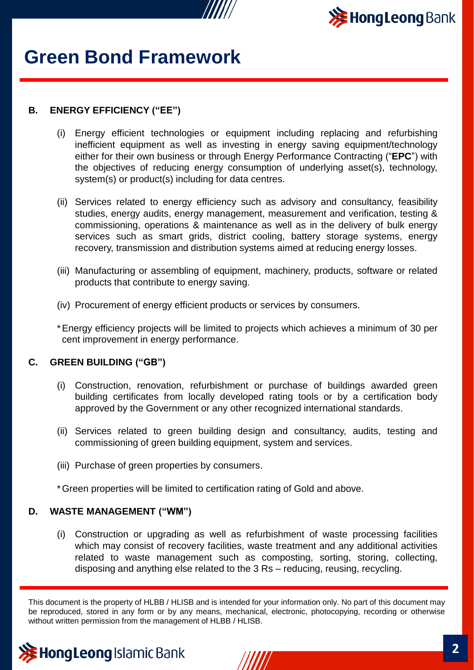



#### **B. ENERGY EFFICIENCY ("EE")**

- (i) Energy efficient technologies or equipment including replacing and refurbishing inefficient equipment as well as investing in energy saving equipment/technology either for their own business or through Energy Performance Contracting ("**EPC**") with the objectives of reducing energy consumption of underlying asset(s), technology, system(s) or product(s) including for data centres.
- (ii) Services related to energy efficiency such as advisory and consultancy, feasibility studies, energy audits, energy management, measurement and verification, testing & commissioning, operations & maintenance as well as in the delivery of bulk energy services such as smart grids, district cooling, battery storage systems, energy recovery, transmission and distribution systems aimed at reducing energy losses.
- (iii) Manufacturing or assembling of equipment, machinery, products, software or related products that contribute to energy saving.
- (iv) Procurement of energy efficient products or services by consumers.

\*Energy efficiency projects will be limited to projects which achieves a minimum of 30 per cent improvement in energy performance.

#### **C. GREEN BUILDING ("GB")**

- (i) Construction, renovation, refurbishment or purchase of buildings awarded green building certificates from locally developed rating tools or by a certification body approved by the Government or any other recognized international standards.
- (ii) Services related to green building design and consultancy, audits, testing and commissioning of green building equipment, system and services.
- (iii) Purchase of green properties by consumers.

\*Green properties will be limited to certification rating of Gold and above.

#### **D. WASTE MANAGEMENT ("WM")**

(i) Construction or upgrading as well as refurbishment of waste processing facilities which may consist of recovery facilities, waste treatment and any additional activities related to waste management such as composting, sorting, storing, collecting, disposing and anything else related to the 3 Rs – reducing, reusing, recycling.



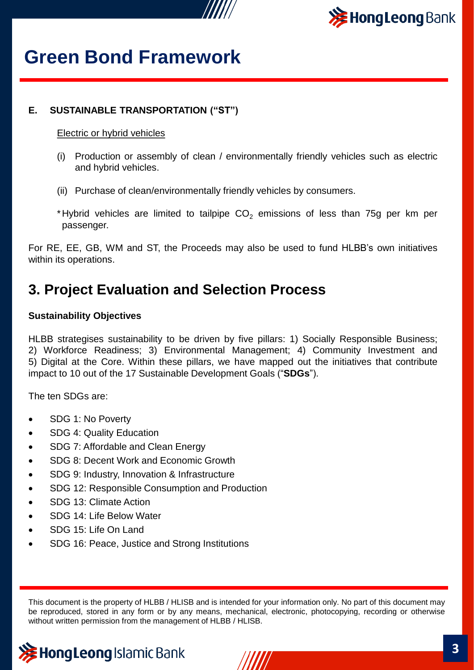



#### **E. SUSTAINABLE TRANSPORTATION ("ST")**

#### Electric or hybrid vehicles

- (i) Production or assembly of clean / environmentally friendly vehicles such as electric and hybrid vehicles.
- (ii) Purchase of clean/environmentally friendly vehicles by consumers.
- \*Hybrid vehicles are limited to tailpipe  $CO<sub>2</sub>$  emissions of less than 75g per km per passenger.

For RE, EE, GB, WM and ST, the Proceeds may also be used to fund HLBB's own initiatives within its operations.

### **3. Project Evaluation and Selection Process**

#### **Sustainability Objectives**

HLBB strategises sustainability to be driven by five pillars: 1) Socially Responsible Business; 2) Workforce Readiness; 3) Environmental Management; 4) Community Investment and 5) Digital at the Core. Within these pillars, we have mapped out the initiatives that contribute impact to 10 out of the 17 Sustainable Development Goals ("**SDGs**").

The ten SDGs are:

- SDG 1: No Poverty
- SDG 4: Quality Education
- SDG 7: Affordable and Clean Energy
- SDG 8: Decent Work and Economic Growth
- SDG 9: Industry, Innovation & Infrastructure
- SDG 12: Responsible Consumption and Production
- SDG 13: Climate Action
- SDG 14: Life Below Water
- SDG 15: Life On Land
- SDG 16: Peace, Justice and Strong Institutions



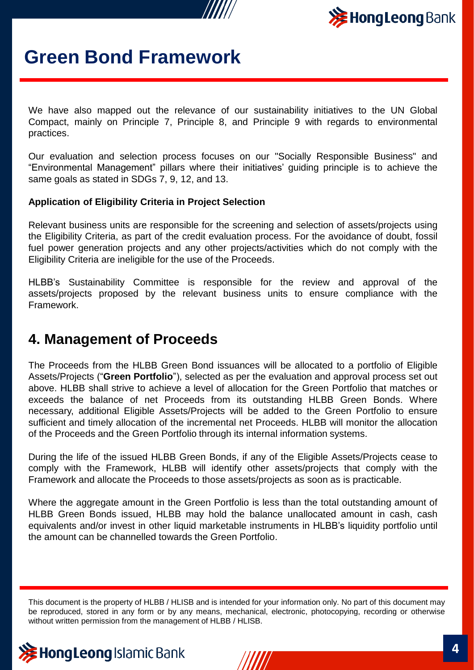



We have also mapped out the relevance of our sustainability initiatives to the UN Global Compact, mainly on Principle 7, Principle 8, and Principle 9 with regards to environmental practices.

Our evaluation and selection process focuses on our "Socially Responsible Business" and "Environmental Management" pillars where their initiatives' guiding principle is to achieve the same goals as stated in SDGs 7, 9, 12, and 13.

#### **Application of Eligibility Criteria in Project Selection**

Relevant business units are responsible for the screening and selection of assets/projects using the Eligibility Criteria, as part of the credit evaluation process. For the avoidance of doubt, fossil fuel power generation projects and any other projects/activities which do not comply with the Eligibility Criteria are ineligible for the use of the Proceeds.

HLBB's Sustainability Committee is responsible for the review and approval of the assets/projects proposed by the relevant business units to ensure compliance with the Framework.

### **4. Management of Proceeds**

The Proceeds from the HLBB Green Bond issuances will be allocated to a portfolio of Eligible Assets/Projects ("**Green Portfolio**"), selected as per the evaluation and approval process set out above. HLBB shall strive to achieve a level of allocation for the Green Portfolio that matches or exceeds the balance of net Proceeds from its outstanding HLBB Green Bonds. Where necessary, additional Eligible Assets/Projects will be added to the Green Portfolio to ensure sufficient and timely allocation of the incremental net Proceeds. HLBB will monitor the allocation of the Proceeds and the Green Portfolio through its internal information systems.

During the life of the issued HLBB Green Bonds, if any of the Eligible Assets/Projects cease to comply with the Framework, HLBB will identify other assets/projects that comply with the Framework and allocate the Proceeds to those assets/projects as soon as is practicable.

Where the aggregate amount in the Green Portfolio is less than the total outstanding amount of HLBB Green Bonds issued, HLBB may hold the balance unallocated amount in cash, cash equivalents and/or invest in other liquid marketable instruments in HLBB's liquidity portfolio until the amount can be channelled towards the Green Portfolio.